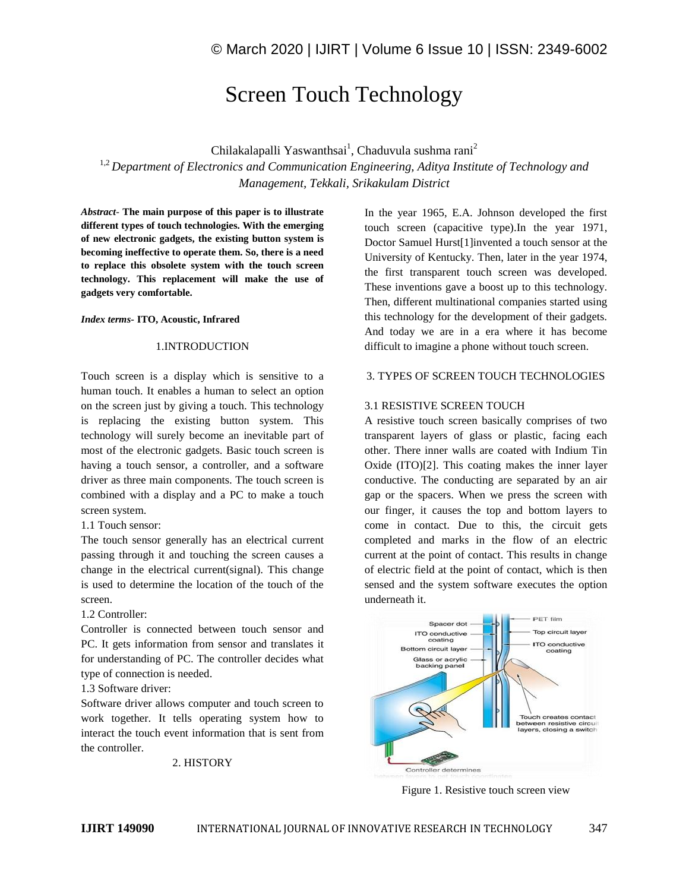# Screen Touch Technology

Chilakalapalli Yaswanthsai<sup>1</sup>, Chaduvula sushma rani<sup>2</sup>

<sup>1,2</sup> Department of Electronics and Communication Engineering, Aditya Institute of Technology and *Management, Tekkali, Srikakulam District*

*Abstract*- **The main purpose of this paper is to illustrate different types of touch technologies. With the emerging of new electronic gadgets, the existing button system is becoming ineffective to operate them. So, there is a need to replace this obsolete system with the touch screen technology. This replacement will make the use of gadgets very comfortable.**

#### *Index terms***- ITO, Acoustic, Infrared**

### 1.INTRODUCTION

Touch screen is a display which is sensitive to a human touch. It enables a human to select an option on the screen just by giving a touch. This technology is replacing the existing button system. This technology will surely become an inevitable part of most of the electronic gadgets. Basic touch screen is having a touch sensor, a controller, and a software driver as three main components. The touch screen is combined with a display and a PC to make a touch screen system.

1.1 Touch sensor:

The touch sensor generally has an electrical current passing through it and touching the screen causes a change in the electrical current(signal). This change is used to determine the location of the touch of the screen.

1.2 Controller:

Controller is connected between touch sensor and PC. It gets information from sensor and translates it for understanding of PC. The controller decides what type of connection is needed.

1.3 Software driver:

Software driver allows computer and touch screen to work together. It tells operating system how to interact the touch event information that is sent from the controller.

2. HISTORY

In the year 1965, E.A. Johnson developed the first touch screen (capacitive type).In the year 1971, Doctor Samuel Hurst[1]invented a touch sensor at the University of Kentucky. Then, later in the year 1974, the first transparent touch screen was developed. These inventions gave a boost up to this technology. Then, different multinational companies started using this technology for the development of their gadgets. And today we are in a era where it has become difficult to imagine a phone without touch screen.

#### 3. TYPES OF SCREEN TOUCH TECHNOLOGIES

#### 3.1 RESISTIVE SCREEN TOUCH

A resistive touch screen basically comprises of two transparent layers of glass or plastic, facing each other. There inner walls are coated with Indium Tin Oxide (ITO)[2]. This coating makes the inner layer conductive. The conducting are separated by an air gap or the spacers. When we press the screen with our finger, it causes the top and bottom layers to come in contact. Due to this, the circuit gets completed and marks in the flow of an electric current at the point of contact. This results in change of electric field at the point of contact, which is then sensed and the system software executes the option underneath it.



Figure 1. Resistive touch screen view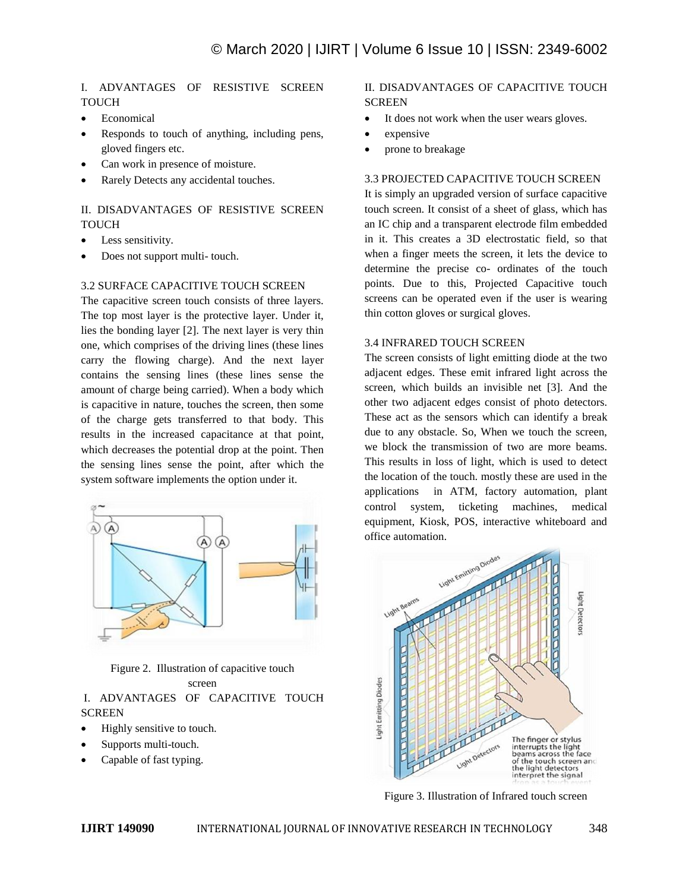# I. ADVANTAGES OF RESISTIVE SCREEN **TOUCH**

- Economical
- Responds to touch of anything, including pens, gloved fingers etc.
- Can work in presence of moisture.
- Rarely Detects any accidental touches.

# II. DISADVANTAGES OF RESISTIVE SCREEN TOUCH

- Less sensitivity.
- Does not support multi- touch.

### 3.2 SURFACE CAPACITIVE TOUCH SCREEN

The capacitive screen touch consists of three layers. The top most layer is the protective layer. Under it, lies the bonding layer [2]. The next layer is very thin one, which comprises of the driving lines (these lines carry the flowing charge). And the next layer contains the sensing lines (these lines sense the amount of charge being carried). When a body which is capacitive in nature, touches the screen, then some of the charge gets transferred to that body. This results in the increased capacitance at that point, which decreases the potential drop at the point. Then the sensing lines sense the point, after which the system software implements the option under it.



Figure 2. Illustration of capacitive touch screen

## I. ADVANTAGES OF CAPACITIVE TOUCH **SCREEN**

- Highly sensitive to touch.
- Supports multi-touch.
- Capable of fast typing.

# II. DISADVANTAGES OF CAPACITIVE TOUCH **SCREEN**

- It does not work when the user wears gloves.
- expensive
- prone to breakage

# 3.3 PROJECTED CAPACITIVE TOUCH SCREEN

It is simply an upgraded version of surface capacitive touch screen. It consist of a sheet of glass, which has an IC chip and a transparent electrode film embedded in it. This creates a 3D electrostatic field, so that when a finger meets the screen, it lets the device to determine the precise co- ordinates of the touch points. Due to this, Projected Capacitive touch screens can be operated even if the user is wearing thin cotton gloves or surgical gloves.

### 3.4 INFRARED TOUCH SCREEN

The screen consists of light emitting diode at the two adjacent edges. These emit infrared light across the screen, which builds an invisible net [3]. And the other two adjacent edges consist of photo detectors. These act as the sensors which can identify a break due to any obstacle. So, When we touch the screen, we block the transmission of two are more beams. This results in loss of light, which is used to detect the location of the touch. mostly these are used in the applications in ATM, factory automation, plant control system, ticketing machines, medical equipment, Kiosk, POS, interactive whiteboard and office automation.



Figure 3. Illustration of Infrared touch screen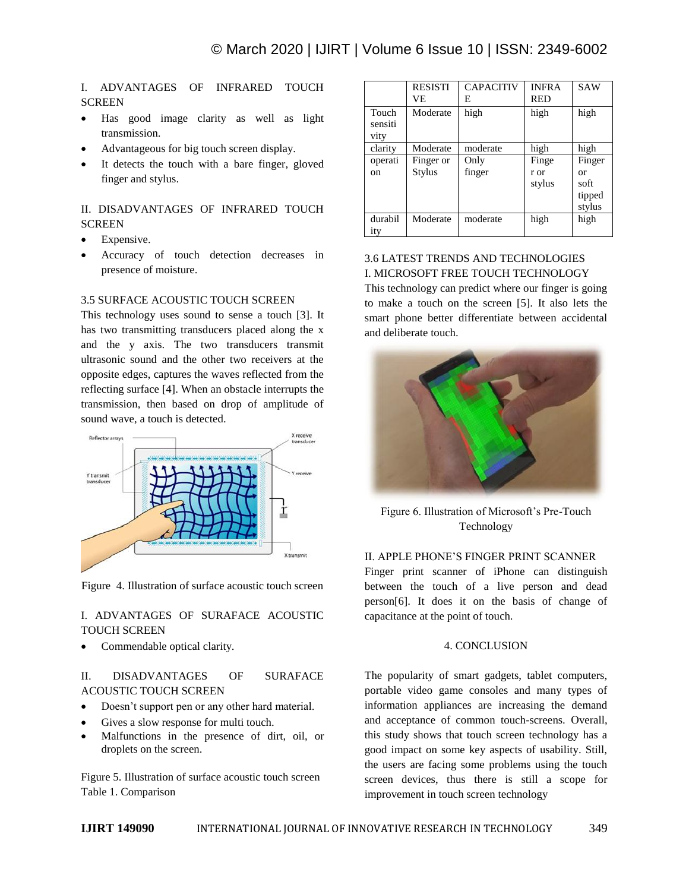I. ADVANTAGES OF INFRARED TOUCH **SCREEN** 

- Has good image clarity as well as light transmission.
- Advantageous for big touch screen display.
- It detects the touch with a bare finger, gloved finger and stylus.

II. DISADVANTAGES OF INFRARED TOUCH **SCREEN** 

- Expensive.
- Accuracy of touch detection decreases in presence of moisture.

### 3.5 SURFACE ACOUSTIC TOUCH SCREEN

This technology uses sound to sense a touch [3]. It has two transmitting transducers placed along the x and the y axis. The two transducers transmit ultrasonic sound and the other two receivers at the opposite edges, captures the waves reflected from the reflecting surface [4]. When an obstacle interrupts the transmission, then based on drop of amplitude of sound wave, a touch is detected.



Figure 4. Illustration of surface acoustic touch screen

### I. ADVANTAGES OF SURAFACE ACOUSTIC TOUCH SCREEN

Commendable optical clarity.

### II. DISADVANTAGES OF SURAFACE ACOUSTIC TOUCH SCREEN

- Doesn't support pen or any other hard material.
- Gives a slow response for multi touch.
- Malfunctions in the presence of dirt, oil, or droplets on the screen.

Figure 5. Illustration of surface acoustic touch screen Table 1. Comparison

|                          | <b>RESISTI</b><br>VE       | <b>CAPACITIV</b><br>E. | <b>INFRA</b><br><b>RED</b> | <b>SAW</b>                               |
|--------------------------|----------------------------|------------------------|----------------------------|------------------------------------------|
| Touch<br>sensiti<br>vity | Moderate                   | high                   | high                       | high                                     |
| clarity                  | Moderate                   | moderate               | high                       | high                                     |
| operati<br>on            | Finger or<br><b>Stylus</b> | Only<br>finger         | Finge<br>r or<br>stylus    | Finger<br>or<br>soft<br>tipped<br>stylus |
| durabil<br>ity           | Moderate                   | moderate               | high                       | high                                     |

### 3.6 LATEST TRENDS AND TECHNOLOGIES I. MICROSOFT FREE TOUCH TECHNOLOGY

This technology can predict where our finger is going to make a touch on the screen [5]. It also lets the smart phone better differentiate between accidental and deliberate touch.



Figure 6. Illustration of Microsoft's Pre-Touch Technology

### II. APPLE PHONE'S FINGER PRINT SCANNER

Finger print scanner of iPhone can distinguish between the touch of a live person and dead person[6]. It does it on the basis of change of capacitance at the point of touch.

#### 4. CONCLUSION

The popularity of smart gadgets, tablet computers, portable video game consoles and many types of information appliances are increasing the demand and acceptance of common touch-screens. Overall, this study shows that touch screen technology has a good impact on some key aspects of usability. Still, the users are facing some problems using the touch screen devices, thus there is still a scope for improvement in touch screen technology